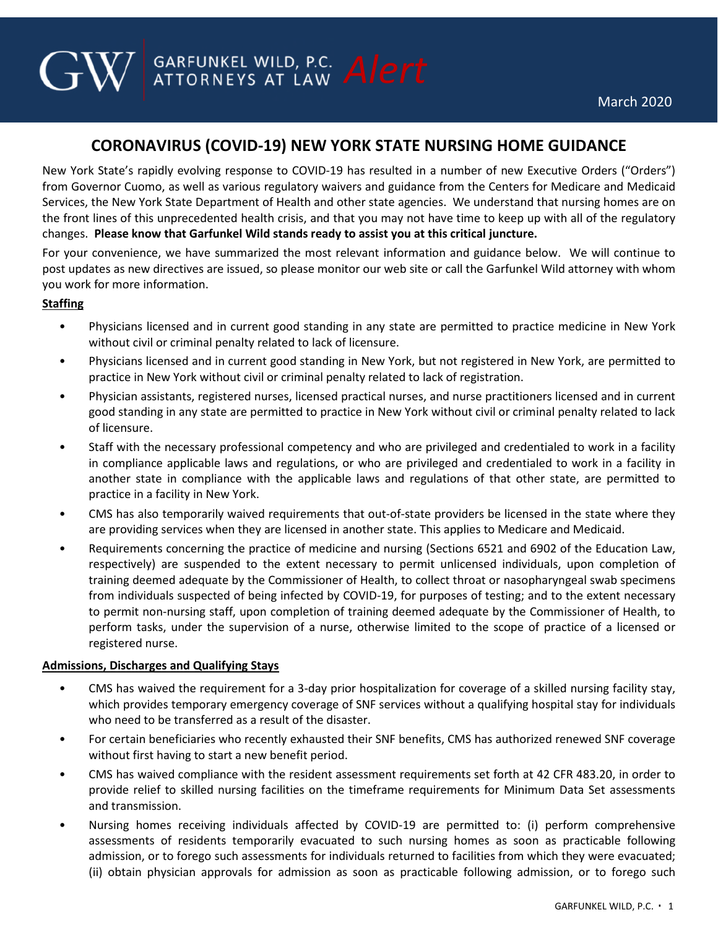# **CORONAVIRUS (COVID-19) NEW YORK STATE NURSING HOME GUIDANCE**

**GARFUNKEL WILD, P.C.** Alert

New York State's rapidly evolving response to COVID-19 has resulted in a number of new Executive Orders ("Orders") from Governor Cuomo, as well as various regulatory waivers and guidance from the Centers for Medicare and Medicaid Services, the New York State Department of Health and other state agencies. We understand that nursing homes are on the front lines of this unprecedented health crisis, and that you may not have time to keep up with all of the regulatory changes. **Please know that Garfunkel Wild stands ready to assist you at this critical juncture.**

For your convenience, we have summarized the most relevant information and guidance below. We will continue to post updates as new directives are issued, so please monitor our web site or call the Garfunkel Wild attorney with whom you work for more information.

# **Staffing**

- Physicians licensed and in current good standing in any state are permitted to practice medicine in New York without civil or criminal penalty related to lack of licensure.
- Physicians licensed and in current good standing in New York, but not registered in New York, are permitted to practice in New York without civil or criminal penalty related to lack of registration.
- Physician assistants, registered nurses, licensed practical nurses, and nurse practitioners licensed and in current good standing in any state are permitted to practice in New York without civil or criminal penalty related to lack of licensure.
- Staff with the necessary professional competency and who are privileged and credentialed to work in a facility in compliance applicable laws and regulations, or who are privileged and credentialed to work in a facility in another state in compliance with the applicable laws and regulations of that other state, are permitted to practice in a facility in New York.
- CMS has also temporarily waived requirements that out-of-state providers be licensed in the state where they are providing services when they are licensed in another state. This applies to Medicare and Medicaid.
- Requirements concerning the practice of medicine and nursing (Sections 6521 and 6902 of the Education Law, respectively) are suspended to the extent necessary to permit unlicensed individuals, upon completion of training deemed adequate by the Commissioner of Health, to collect throat or nasopharyngeal swab specimens from individuals suspected of being infected by COVID-19, for purposes of testing; and to the extent necessary to permit non-nursing staff, upon completion of training deemed adequate by the Commissioner of Health, to perform tasks, under the supervision of a nurse, otherwise limited to the scope of practice of a licensed or registered nurse.

## **Admissions, Discharges and Qualifying Stays**

- CMS has waived the requirement for a 3-day prior hospitalization for coverage of a skilled nursing facility stay, which provides temporary emergency coverage of SNF services without a qualifying hospital stay for individuals who need to be transferred as a result of the disaster.
- For certain beneficiaries who recently exhausted their SNF benefits, CMS has authorized renewed SNF coverage without first having to start a new benefit period.
- CMS has waived compliance with the resident assessment requirements set forth at 42 CFR 483.20, in order to provide relief to skilled nursing facilities on the timeframe requirements for Minimum Data Set assessments and transmission.
- Nursing homes receiving individuals affected by COVID-19 are permitted to: (i) perform comprehensive assessments of residents temporarily evacuated to such nursing homes as soon as practicable following admission, or to forego such assessments for individuals returned to facilities from which they were evacuated; (ii) obtain physician approvals for admission as soon as practicable following admission, or to forego such